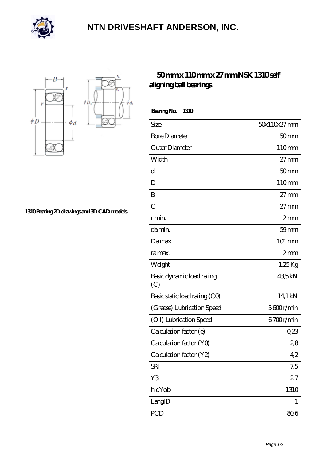

## **[NTN DRIVESHAFT ANDERSON, INC.](https://flash-igre.net)**



**[1310 Bearing 2D drawings and 3D CAD models](https://flash-igre.net/pic-437868.html)**

## **[50 mm x 110 mm x 27 mm NSK 1310 self](https://flash-igre.net/bz-437868-nsk-1310-self-aligning-ball-bearings.html) [aligning ball bearings](https://flash-igre.net/bz-437868-nsk-1310-self-aligning-ball-bearings.html)**

 **Bearing No. 1310**

 $\phi_d$ 

| $50x110x27$ mm   |
|------------------|
| 50 <sub>mm</sub> |
| 110mm            |
| $27 \text{mm}$   |
| 50 <sub>mm</sub> |
| 110mm            |
| $27 \text{mm}$   |
| $27 \text{mm}$   |
| 2mm              |
| $59$ mm          |
| 101 mm           |
| 2mm              |
| $1,25$ Kg        |
| 435kN            |
| 14,1 kN          |
| 5600r/min        |
| 6700r/min        |
| 0,23             |
| 28               |
| 42               |
| 7.5              |
| 27               |
| 1310             |
| 1                |
| 806              |
|                  |